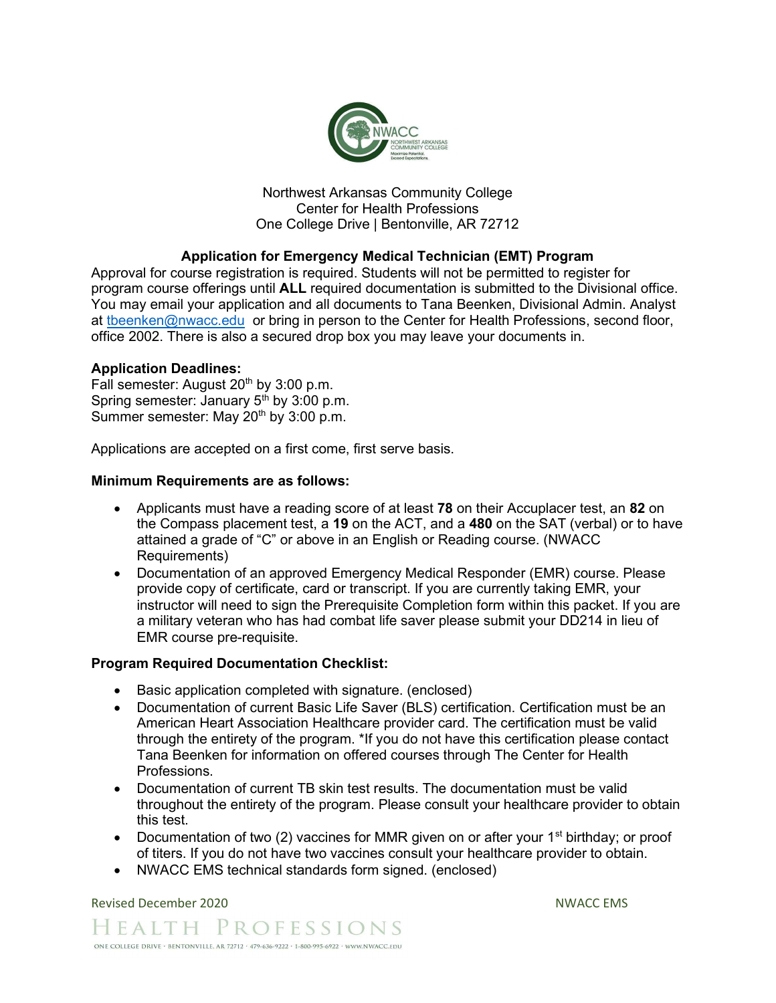

Northwest Arkansas Community College Center for Health Professions One College Drive | Bentonville, AR 72712

## Application for Emergency Medical Technician (EMT) Program

Approval for course registration is required. Students will not be permitted to register for program course offerings until ALL required documentation is submitted to the Divisional office. You may email your application and all documents to Tana Beenken, Divisional Admin. Analyst at theenken@nwacc.edu or bring in person to the Center for Health Professions, second floor, office 2002. There is also a secured drop box you may leave your documents in.

#### Application Deadlines:

Fall semester: August  $20<sup>th</sup>$  by  $3:00$  p.m. Spring semester: January  $5<sup>th</sup>$  by 3:00 p.m. Summer semester: May 20<sup>th</sup> by 3:00 p.m.

Applications are accepted on a first come, first serve basis.

#### Minimum Requirements are as follows:

- Applicants must have a reading score of at least 78 on their Accuplacer test, an 82 on the Compass placement test, a 19 on the ACT, and a 480 on the SAT (verbal) or to have attained a grade of "C" or above in an English or Reading course. (NWACC Requirements)
- Documentation of an approved Emergency Medical Responder (EMR) course. Please provide copy of certificate, card or transcript. If you are currently taking EMR, your instructor will need to sign the Prerequisite Completion form within this packet. If you are a military veteran who has had combat life saver please submit your DD214 in lieu of EMR course pre-requisite.

#### Program Required Documentation Checklist:

- Basic application completed with signature. (enclosed)
- Documentation of current Basic Life Saver (BLS) certification. Certification must be an American Heart Association Healthcare provider card. The certification must be valid through the entirety of the program. \*If you do not have this certification please contact Tana Beenken for information on offered courses through The Center for Health Professions.
- Documentation of current TB skin test results. The documentation must be valid throughout the entirety of the program. Please consult your healthcare provider to obtain this test.
- Documentation of two (2) vaccines for MMR given on or after your 1<sup>st</sup> birthday; or proof of titers. If you do not have two vaccines consult your healthcare provider to obtain.
- NWACC EMS technical standards form signed. (enclosed)

Revised December 2020 NWACC EMS

HEALTH PROFESSIONS ONE COLLEGE DRIVE · BENTONVILLE, AR 72712 · 479-636-9222 · 1-800-995-6922 · www.NWACC.EDU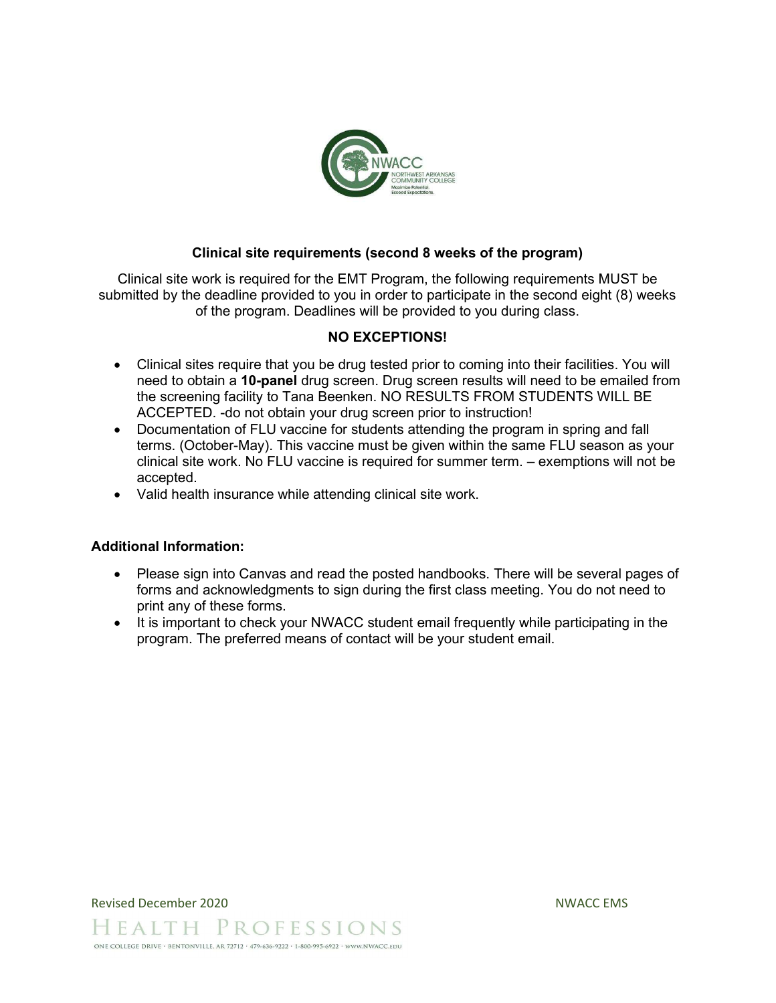

#### Clinical site requirements (second 8 weeks of the program)

Clinical site work is required for the EMT Program, the following requirements MUST be submitted by the deadline provided to you in order to participate in the second eight (8) weeks of the program. Deadlines will be provided to you during class.

## NO EXCEPTIONS!

- Clinical sites require that you be drug tested prior to coming into their facilities. You will need to obtain a 10-panel drug screen. Drug screen results will need to be emailed from the screening facility to Tana Beenken. NO RESULTS FROM STUDENTS WILL BE ACCEPTED. -do not obtain your drug screen prior to instruction!
- Documentation of FLU vaccine for students attending the program in spring and fall terms. (October-May). This vaccine must be given within the same FLU season as your clinical site work. No FLU vaccine is required for summer term. – exemptions will not be accepted.
- Valid health insurance while attending clinical site work.

#### Additional Information:

- Please sign into Canvas and read the posted handbooks. There will be several pages of forms and acknowledgments to sign during the first class meeting. You do not need to print any of these forms.
- It is important to check your NWACC student email frequently while participating in the program. The preferred means of contact will be your student email.

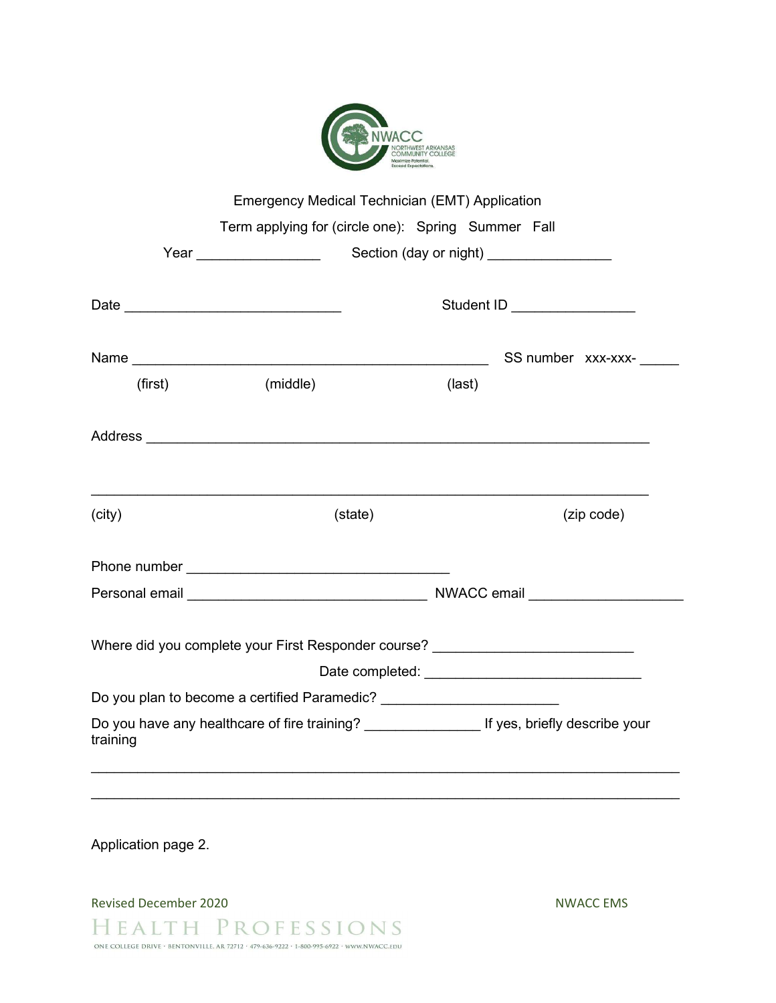| NORTHWEST ARKANSAS<br><b>COMMUNITY COLLEGE</b><br>Maximize Potential.<br><b>Exceed Expectations.</b> |
|------------------------------------------------------------------------------------------------------|

|          | Emergency Medical Technician (EMT) Application                                                     |                                          |  |  |                    |
|----------|----------------------------------------------------------------------------------------------------|------------------------------------------|--|--|--------------------|
|          | Term applying for (circle one): Spring Summer Fall                                                 |                                          |  |  |                    |
|          | Year __________________                                                                            | Section (day or night) _________________ |  |  |                    |
|          | Student ID _________________                                                                       |                                          |  |  |                    |
|          |                                                                                                    |                                          |  |  | SS number xxx-xxx- |
| (first)  | (middle)                                                                                           | (last)                                   |  |  |                    |
|          |                                                                                                    |                                          |  |  |                    |
| (city)   | (state)                                                                                            | (zip code)                               |  |  |                    |
|          |                                                                                                    |                                          |  |  |                    |
|          |                                                                                                    |                                          |  |  |                    |
|          | Where did you complete your First Responder course? ____________________________                   |                                          |  |  |                    |
|          |                                                                                                    |                                          |  |  |                    |
|          | Do you plan to become a certified Paramedic? ___________________________________                   |                                          |  |  |                    |
| training | Do you have any healthcare of fire training? _______________________ If yes, briefly describe your |                                          |  |  |                    |

Application page 2.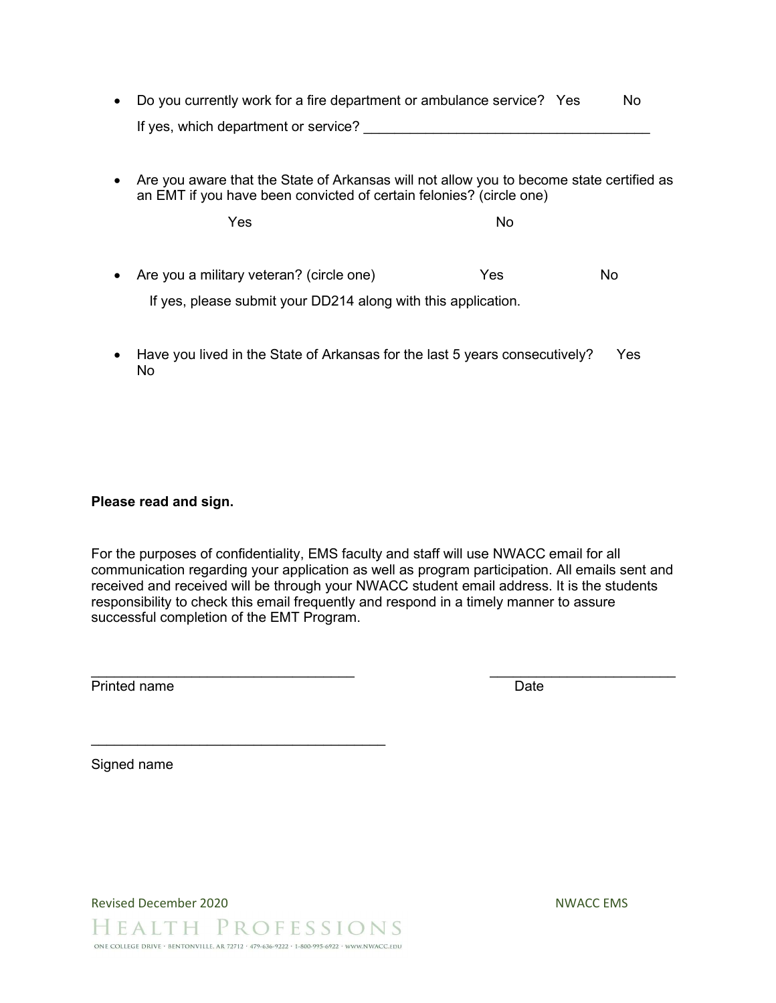- Do you currently work for a fire department or ambulance service? Yes No If yes, which department or service?
- Are you aware that the State of Arkansas will not allow you to become state certified as an EMT if you have been convicted of certain felonies? (circle one)

where the New Yes the North State of the North State of the North State of the North State of the North State o

- Are you a military veteran? (circle one) The Yes No If yes, please submit your DD214 along with this application.
- Have you lived in the State of Arkansas for the last 5 years consecutively? Yes No

#### Please read and sign.

For the purposes of confidentiality, EMS faculty and staff will use NWACC email for all communication regarding your application as well as program participation. All emails sent and received and received will be through your NWACC student email address. It is the students responsibility to check this email frequently and respond in a timely manner to assure successful completion of the EMT Program.

 $\mathcal{L}_\text{max}$  , and the contract of the contract of the contract of the contract of the contract of the contract of the contract of the contract of the contract of the contract of the contract of the contract of the contr

Printed name Date

Signed name

Revised December 2020 NWACC EMS

HEALTH PROFESSIONS ONE COLLEGE DRIVE · BENTONVILLE, AR 72712 · 479-636-9222 · 1-800-995-6922 · www.NWACC.EDU

 $\mathcal{L}_\text{max}$  , where  $\mathcal{L}_\text{max}$  is the set of the set of the set of the set of the set of the set of the set of the set of the set of the set of the set of the set of the set of the set of the set of the set of the se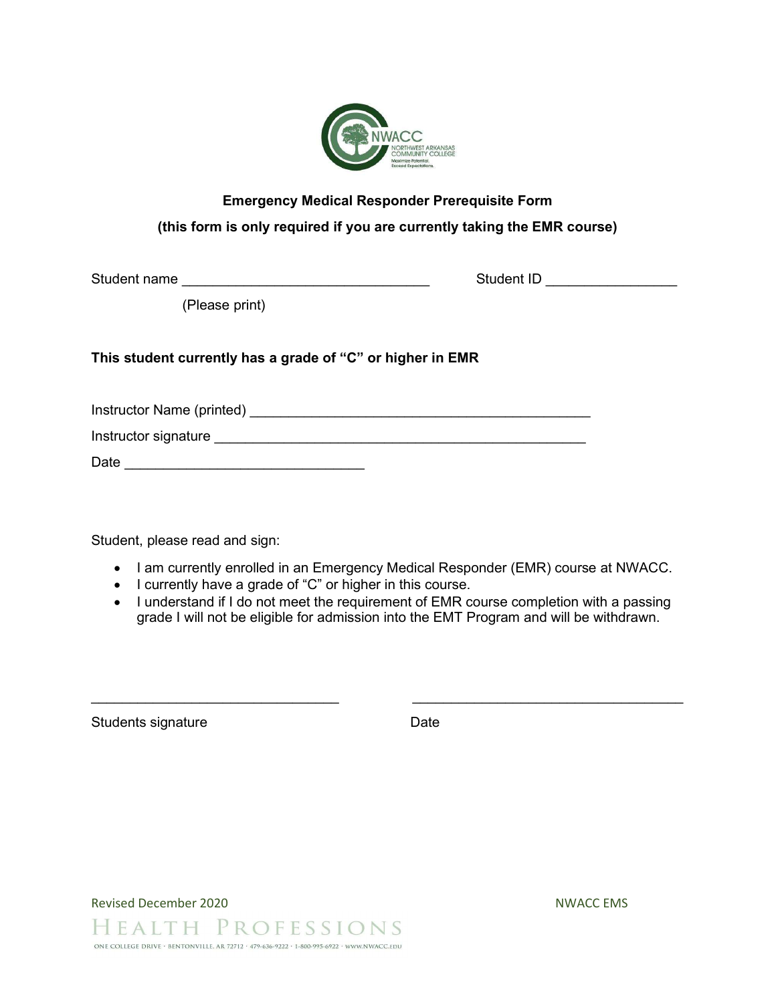

# Emergency Medical Responder Prerequisite Form (this form is only required if you are currently taking the EMR course)

Student name **Student name** and the student ID  $\sim$  Student ID  $\sim$ 

(Please print)

## This student currently has a grade of "C" or higher in EMR

Instructor Name (printed) \_\_\_\_\_\_\_\_\_\_\_\_\_\_\_\_\_\_\_\_\_\_\_\_\_\_\_\_\_\_\_\_\_\_\_\_\_\_\_\_\_\_\_\_

Instructor signature **Example 20** and 20 and 20 and 20 and 20 and 20 and 20 and 20 and 20 and 20 and 20 and 20 and 20 and 20 and 20 and 20 and 20 and 20 and 20 and 20 and 20 and 20 and 20 and 20 and 20 and 20 and 20 and 20

Date \_\_\_\_\_\_\_\_\_\_\_\_\_\_\_\_\_\_\_\_\_\_\_\_\_\_\_\_\_\_\_

Student, please read and sign:

- I am currently enrolled in an Emergency Medical Responder (EMR) course at NWACC.
- I currently have a grade of "C" or higher in this course.
- I understand if I do not meet the requirement of EMR course completion with a passing grade I will not be eligible for admission into the EMT Program and will be withdrawn.

 $\_$  , and the contribution of  $\_$  , and  $\_$  , and  $\_$  , and  $\_$  , and  $\_$  , and  $\_$  , and  $\_$ 

Students signature Date Date

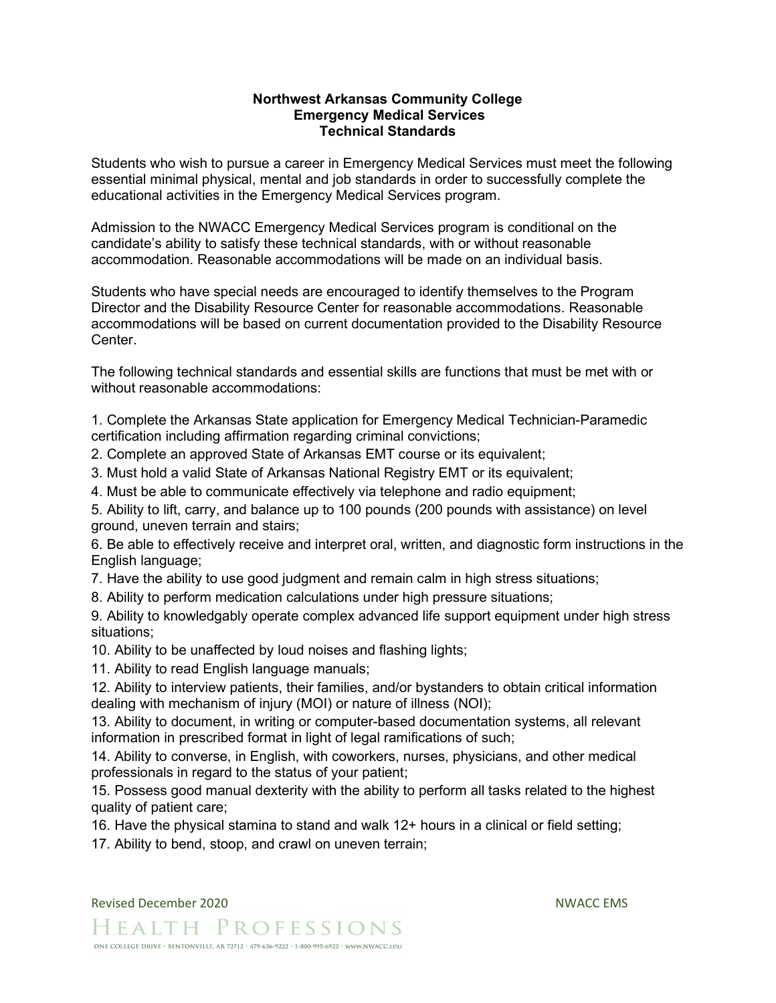#### Northwest Arkansas Community College Emergency Medical Services Technical Standards

Students who wish to pursue a career in Emergency Medical Services must meet the following essential minimal physical, mental and job standards in order to successfully complete the educational activities in the Emergency Medical Services program.

Admission to the NWACC Emergency Medical Services program is conditional on the candidate's ability to satisfy these technical standards, with or without reasonable accommodation. Reasonable accommodations will be made on an individual basis.

Students who have special needs are encouraged to identify themselves to the Program Director and the Disability Resource Center for reasonable accommodations. Reasonable accommodations will be based on current documentation provided to the Disability Resource Center.

The following technical standards and essential skills are functions that must be met with or without reasonable accommodations:

1. Complete the Arkansas State application for Emergency Medical Technician-Paramedic certification including affirmation regarding criminal convictions;

- 2. Complete an approved State of Arkansas EMT course or its equivalent;
- 3. Must hold a valid State of Arkansas National Registry EMT or its equivalent;
- 4. Must be able to communicate effectively via telephone and radio equipment;

5. Ability to lift, carry, and balance up to 100 pounds (200 pounds with assistance) on level ground, uneven terrain and stairs;

6. Be able to effectively receive and interpret oral, written, and diagnostic form instructions in the English language;

- 7. Have the ability to use good judgment and remain calm in high stress situations;
- 8. Ability to perform medication calculations under high pressure situations;

9. Ability to knowledgably operate complex advanced life support equipment under high stress situations;

10. Ability to be unaffected by loud noises and flashing lights;

11. Ability to read English language manuals;

12. Ability to interview patients, their families, and/or bystanders to obtain critical information dealing with mechanism of injury (MOI) or nature of illness (NOI);

13. Ability to document, in writing or computer-based documentation systems, all relevant information in prescribed format in light of legal ramifications of such;

14. Ability to converse, in English, with coworkers, nurses, physicians, and other medical professionals in regard to the status of your patient;

15. Possess good manual dexterity with the ability to perform all tasks related to the highest quality of patient care;

16. Have the physical stamina to stand and walk 12+ hours in a clinical or field setting;

17. Ability to bend, stoop, and crawl on uneven terrain;

HEALTH PROFESSIONS ONE COLLEGE DRIVE · BENTONVILLE, AR 72712 · 479-636-9222 · 1-800-995-6922 · WWW.NWACC.EDU

Revised December 2020 NWACC EMS